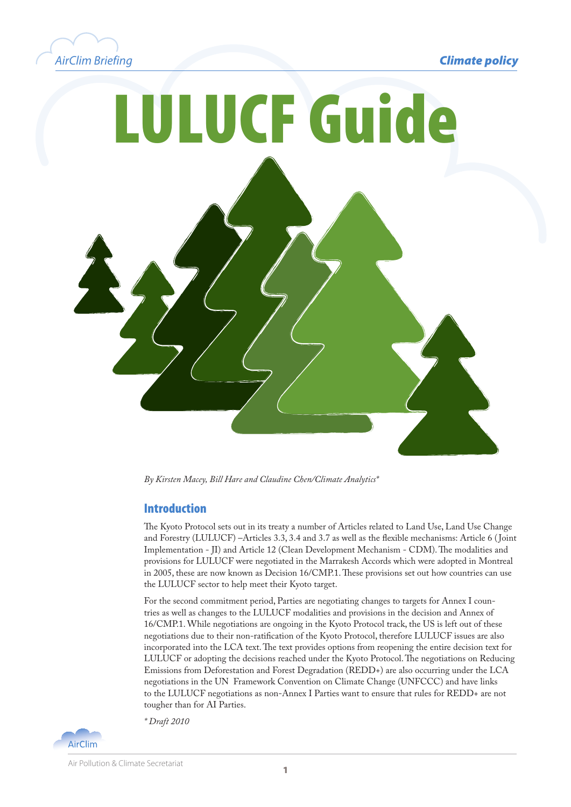





*By Kirsten Macey, Bill Hare and Claudine Chen/Climate Analytics\**

#### Introduction

The Kyoto Protocol sets out in its treaty a number of Articles related to Land Use, Land Use Change and Forestry (LULUCF) –Articles 3.3, 3.4 and 3.7 as well as the flexible mechanisms: Article 6 ( Joint Implementation - JI) and Article 12 (Clean Development Mechanism - CDM). The modalities and provisions for LULUCF were negotiated in the Marrakesh Accords which were adopted in Montreal in 2005, these are now known as Decision 16/CMP.1. These provisions set out how countries can use the LULUCF sector to help meet their Kyoto target.

For the second commitment period, Parties are negotiating changes to targets for Annex I countries as well as changes to the LULUCF modalities and provisions in the decision and Annex of 16/CMP.1. While negotiations are ongoing in the Kyoto Protocol track, the US is left out of these negotiations due to their non-ratification of the Kyoto Protocol, therefore LULUCF issues are also incorporated into the LCA text. The text provides options from reopening the entire decision text for LULUCF or adopting the decisions reached under the Kyoto Protocol. The negotiations on Reducing Emissions from Deforestation and Forest Degradation (REDD+) are also occurring under the LCA negotiations in the UN Framework Convention on Climate Change (UNFCCC) and have links to the LULUCF negotiations as non-Annex I Parties want to ensure that rules for REDD+ are not tougher than for AI Parties.

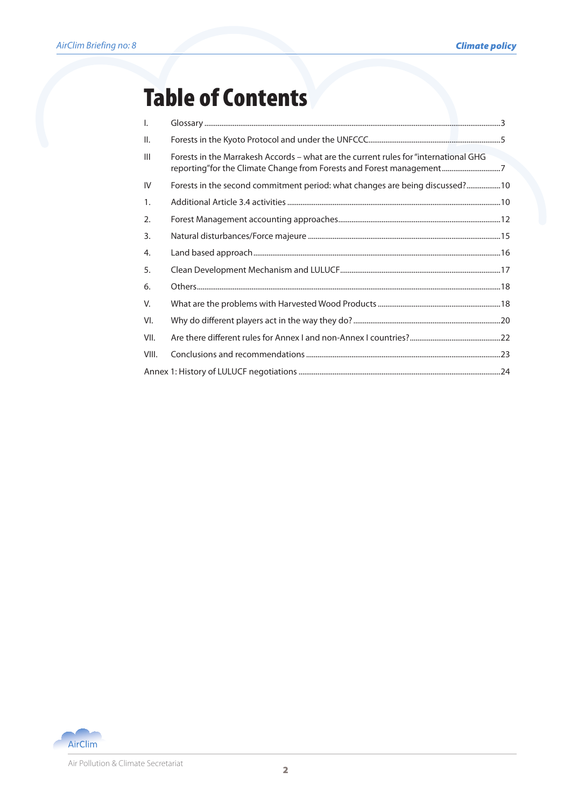## Table of Contents

| $\mathbf{I}$ .  |                                                                                                                                                              |  |
|-----------------|--------------------------------------------------------------------------------------------------------------------------------------------------------------|--|
| $\mathbf{II}$ . |                                                                                                                                                              |  |
| $\mathbf{III}$  | Forests in the Marrakesh Accords – what are the current rules for "international GHG<br>reporting"for the Climate Change from Forests and Forest management7 |  |
| IV              | Forests in the second commitment period: what changes are being discussed? 10                                                                                |  |
| 1.              |                                                                                                                                                              |  |
| 2.              |                                                                                                                                                              |  |
| 3.              |                                                                                                                                                              |  |
| 4.              |                                                                                                                                                              |  |
| 5.              |                                                                                                                                                              |  |
| 6.              |                                                                                                                                                              |  |
| V.              |                                                                                                                                                              |  |
| VI.             |                                                                                                                                                              |  |
| VII.            |                                                                                                                                                              |  |
| VIII.           |                                                                                                                                                              |  |
|                 |                                                                                                                                                              |  |

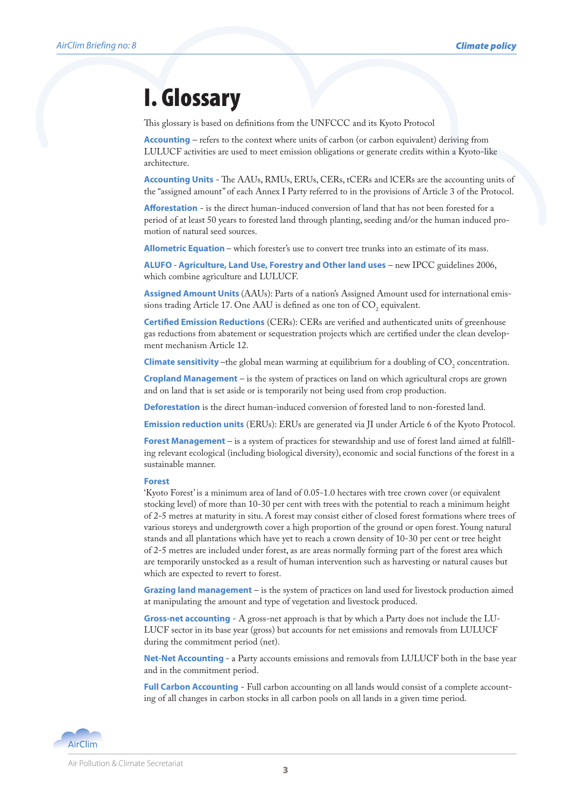## I. Glossary

This glossary is based on definitions from the UNFCCC and its Kyoto Protocol

**Accounting** – refers to the context where units of carbon (or carbon equivalent) deriving from LULUCF activities are used to meet emission obligations or generate credits within a Kyoto-like architecture.

**Accounting Units** - The AAUs, RMUs, ERUs, CERs, tCERs and lCERs are the accounting units of the "assigned amount" of each Annex I Party referred to in the provisions of Article 3 of the Protocol.

**Afforestation** - is the direct human-induced conversion of land that has not been forested for a period of at least 50 years to forested land through planting, seeding and/or the human induced promotion of natural seed sources.

**Allometric Equation** – which forester's use to convert tree trunks into an estimate of its mass.

**ALUFO - Agriculture, Land Use, Forestry and Other land uses** – new IPCC guidelines 2006, which combine agriculture and LULUCF.

**Assigned Amount Units** (AAUs): Parts of a nation's Assigned Amount used for international emissions trading Article 17. One AAU is defined as one ton of  $\mathrm{CO}_2$  equivalent.

**Certified Emission Reductions** (CERs): CERs are verified and authenticated units of greenhouse gas reductions from abatement or sequestration projects which are certified under the clean development mechanism Article 12.

**Climate sensitivity** –the global mean warming at equilibrium for a doubling of  $CO_2$  concentration.

**Cropland Management** – is the system of practices on land on which agricultural crops are grown and on land that is set aside or is temporarily not being used from crop production.

**Deforestation** is the direct human-induced conversion of forested land to non-forested land.

**Emission reduction units** (ERUs): ERUs are generated via JI under Article 6 of the Kyoto Protocol.

**Forest Management** – is a system of practices for stewardship and use of forest land aimed at fulfilling relevant ecological (including biological diversity), economic and social functions of the forest in a sustainable manner.

#### **Forest**

'Kyoto Forest' is a minimum area of land of 0.05-1.0 hectares with tree crown cover (or equivalent stocking level) of more than 10-30 per cent with trees with the potential to reach a minimum height of 2-5 metres at maturity in situ. A forest may consist either of closed forest formations where trees of various storeys and undergrowth cover a high proportion of the ground or open forest. Young natural stands and all plantations which have yet to reach a crown density of 10-30 per cent or tree height of 2-5 metres are included under forest, as are areas normally forming part of the forest area which are temporarily unstocked as a result of human intervention such as harvesting or natural causes but which are expected to revert to forest.

**Grazing land management** – is the system of practices on land used for livestock production aimed at manipulating the amount and type of vegetation and livestock produced.

**Gross-net accounting** - A gross-net approach is that by which a Party does not include the LU-LUCF sector in its base year (gross) but accounts for net emissions and removals from LULUCF during the commitment period (net).

**Net-Net Accounting** - a Party accounts emissions and removals from LULUCF both in the base year and in the commitment period.

**Full Carbon Accounting** - Full carbon accounting on all lands would consist of a complete accounting of all changes in carbon stocks in all carbon pools on all lands in a given time period.

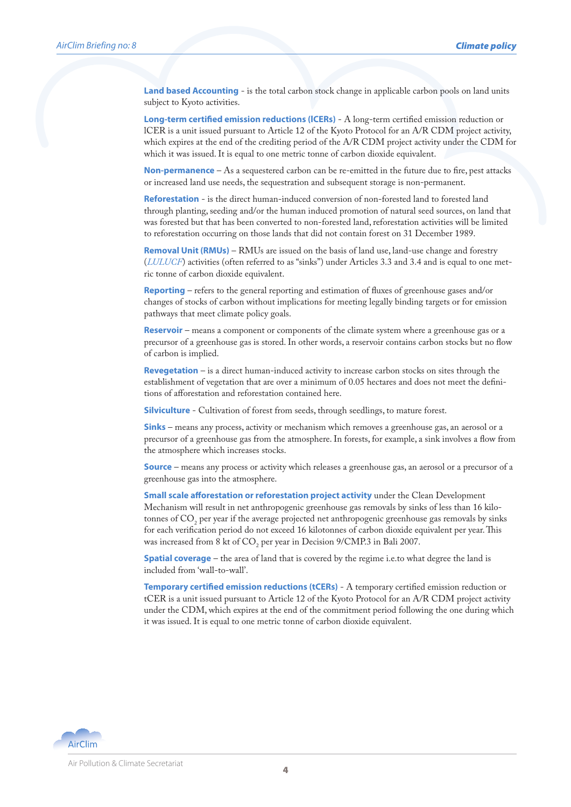**Land based Accounting** - is the total carbon stock change in applicable carbon pools on land units subject to Kyoto activities.

**Long-term certified emission reductions (lCERs)** - A long-term certified emission reduction or lCER is a unit issued pursuant to Article 12 of the Kyoto Protocol for an A/R CDM project activity, which expires at the end of the crediting period of the A/R CDM project activity under the CDM for which it was issued. It is equal to one metric tonne of carbon dioxide equivalent.

**Non-permanence** – As a sequestered carbon can be re-emitted in the future due to fire, pest attacks or increased land use needs, the sequestration and subsequent storage is non-permanent.

**Reforestation** - is the direct human-induced conversion of non-forested land to forested land through planting, seeding and/or the human induced promotion of natural seed sources, on land that was forested but that has been converted to non-forested land, reforestation activities will be limited to reforestation occurring on those lands that did not contain forest on 31 December 1989.

**Removal Unit (RMUs)** – RMUs are issued on the basis of land use, land-use change and forestry (*LULUCF*) activities (often referred to as "sinks") under Articles 3.3 and 3.4 and is equal to one metric tonne of carbon dioxide equivalent.

**Reporting** – refers to the general reporting and estimation of fluxes of greenhouse gases and/or changes of stocks of carbon without implications for meeting legally binding targets or for emission pathways that meet climate policy goals.

**Reservoir** – means a component or components of the climate system where a greenhouse gas or a precursor of a greenhouse gas is stored. In other words, a reservoir contains carbon stocks but no flow of carbon is implied.

**Revegetation** – is a direct human-induced activity to increase carbon stocks on sites through the establishment of vegetation that are over a minimum of 0.05 hectares and does not meet the definitions of afforestation and reforestation contained here.

**Silviculture** - Cultivation of forest from seeds, through seedlings, to mature forest.

**Sinks** – means any process, activity or mechanism which removes a greenhouse gas, an aerosol or a precursor of a greenhouse gas from the atmosphere. In forests, for example, a sink involves a flow from the atmosphere which increases stocks.

**Source** – means any process or activity which releases a greenhouse gas, an aerosol or a precursor of a greenhouse gas into the atmosphere.

**Small scale afforestation or reforestation project activity** under the Clean Development Mechanism will result in net anthropogenic greenhouse gas removals by sinks of less than 16 kilotonnes of  $\mathrm{CO}_2$  per year if the average projected net anthropogenic greenhouse gas removals by sinks for each verification period do not exceed 16 kilotonnes of carbon dioxide equivalent per year. This was increased from 8 kt of  $CO_2$  per year in Decision 9/CMP.3 in Bali 2007.

**Spatial coverage** – the area of land that is covered by the regime i.e.to what degree the land is included from 'wall-to-wall'.

**Temporary certified emission reductions (tCERs)** - A temporary certified emission reduction or tCER is a unit issued pursuant to Article 12 of the Kyoto Protocol for an A/R CDM project activity under the CDM, which expires at the end of the commitment period following the one during which it was issued. It is equal to one metric tonne of carbon dioxide equivalent.

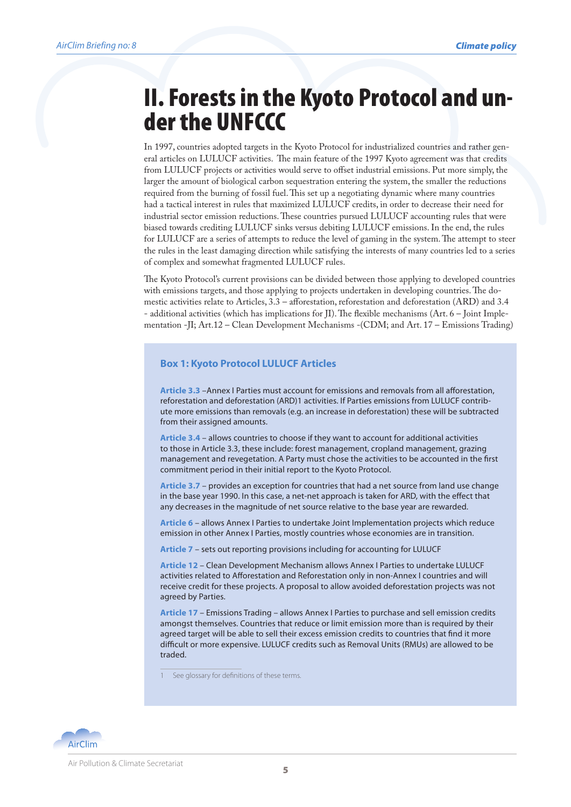# II. Forests in the Kyoto Protocol and un- der the UNFCCC

In 1997, countries adopted targets in the Kyoto Protocol for industrialized countries and rather general articles on LULUCF activities. The main feature of the 1997 Kyoto agreement was that credits from LULUCF projects or activities would serve to offset industrial emissions. Put more simply, the larger the amount of biological carbon sequestration entering the system, the smaller the reductions required from the burning of fossil fuel. This set up a negotiating dynamic where many countries had a tactical interest in rules that maximized LULUCF credits, in order to decrease their need for industrial sector emission reductions. These countries pursued LULUCF accounting rules that were biased towards crediting LULUCF sinks versus debiting LULUCF emissions. In the end, the rules for LULUCF are a series of attempts to reduce the level of gaming in the system. The attempt to steer the rules in the least damaging direction while satisfying the interests of many countries led to a series of complex and somewhat fragmented LULUCF rules.

The Kyoto Protocol's current provisions can be divided between those applying to developed countries with emissions targets, and those applying to projects undertaken in developing countries. The domestic activities relate to Articles, 3.3 – afforestation, reforestation and deforestation (ARD) and 3.4 - additional activities (which has implications for JI). The flexible mechanisms (Art. 6 – Joint Implementation -JI; Art.12 – Clean Development Mechanisms -(CDM; and Art. 17 – Emissions Trading)

#### **Box 1: Kyoto Protocol LULUCF Articles**

**Article 3.3** –Annex I Parties must account for emissions and removals from all afforestation, reforestation and deforestation (ARD)1 activities. If Parties emissions from LULUCF contribute more emissions than removals (e.g. an increase in deforestation) these will be subtracted from their assigned amounts.

**Article 3.4** – allows countries to choose if they want to account for additional activities to those in Article 3.3, these include: forest management, cropland management, grazing management and revegetation. A Party must chose the activities to be accounted in the first commitment period in their initial report to the Kyoto Protocol.

**Article 3.7** – provides an exception for countries that had a net source from land use change in the base year 1990. In this case, a net-net approach is taken for ARD, with the effect that any decreases in the magnitude of net source relative to the base year are rewarded.

**Article 6** – allows Annex I Parties to undertake Joint Implementation projects which reduce emission in other Annex I Parties, mostly countries whose economies are in transition.

**Article 7** – sets out reporting provisions including for accounting for LULUCF

**Article 12** – Clean Development Mechanism allows Annex I Parties to undertake LULUCF activities related to Afforestation and Reforestation only in non-Annex I countries and will receive credit for these projects. A proposal to allow avoided deforestation projects was not agreed by Parties.

**Article 17** – Emissions Trading – allows Annex I Parties to purchase and sell emission credits amongst themselves. Countries that reduce or limit emission more than is required by their agreed target will be able to sell their excess emission credits to countries that find it more difficult or more expensive. LULUCF credits such as Removal Units (RMUs) are allowed to be traded.

See glossary for definitions of these terms.

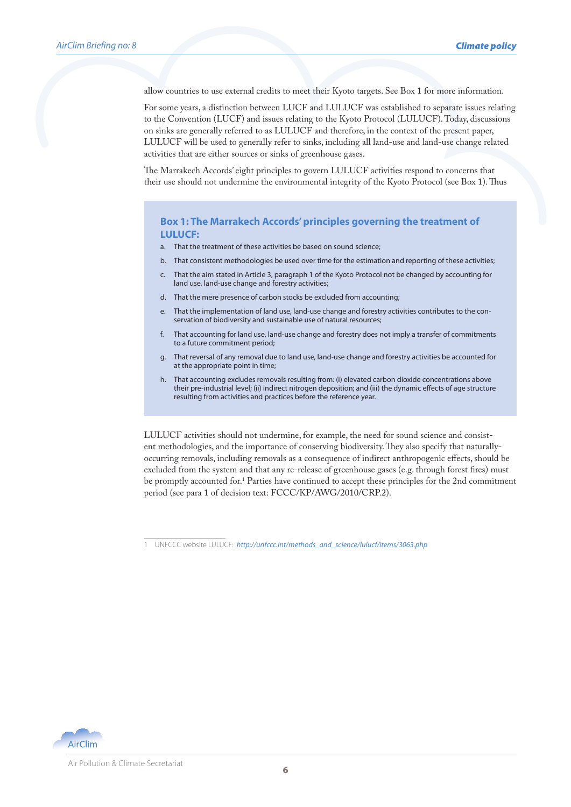allow countries to use external credits to meet their Kyoto targets. See Box 1 for more information.

For some years, a distinction between LUCF and LULUCF was established to separate issues relating to the Convention (LUCF) and issues relating to the Kyoto Protocol (LULUCF). Today, discussions on sinks are generally referred to as LULUCF and therefore, in the context of the present paper, LULUCF will be used to generally refer to sinks, including all land-use and land-use change related activities that are either sources or sinks of greenhouse gases.

The Marrakech Accords' eight principles to govern LULUCF activities respond to concerns that their use should not undermine the environmental integrity of the Kyoto Protocol (see Box 1). Thus

#### **Box 1: The Marrakech Accords' principles governing the treatment of LULUCF:**

- a. That the treatment of these activities be based on sound science;
- b. That consistent methodologies be used over time for the estimation and reporting of these activities;
- c. That the aim stated in Article 3, paragraph 1 of the Kyoto Protocol not be changed by accounting for land use, land-use change and forestry activities;
- d. That the mere presence of carbon stocks be excluded from accounting;
- e. That the implementation of land use, land-use change and forestry activities contributes to the conservation of biodiversity and sustainable use of natural resources;
- f. That accounting for land use, land-use change and forestry does not imply a transfer of commitments to a future commitment period;
- g. That reversal of any removal due to land use, land-use change and forestry activities be accounted for at the appropriate point in time;
- h. That accounting excludes removals resulting from: (i) elevated carbon dioxide concentrations above their pre-industrial level; (ii) indirect nitrogen deposition; and (iii) the dynamic effects of age structure resulting from activities and practices before the reference year.

LULUCF activities should not undermine, for example, the need for sound science and consistent methodologies, and the importance of conserving biodiversity. They also specify that naturallyoccurring removals, including removals as a consequence of indirect anthropogenic effects, should be excluded from the system and that any re-release of greenhouse gases (e.g. through forest fires) must be promptly accounted for.1 Parties have continued to accept these principles for the 2nd commitment period (see para 1 of decision text: FCCC/KP/AWG/2010/CRP.2).



<sup>1</sup> UNFCCC website LULUCF: *http://unfccc.int/methods\_and\_science/lulucf/items/3063.php*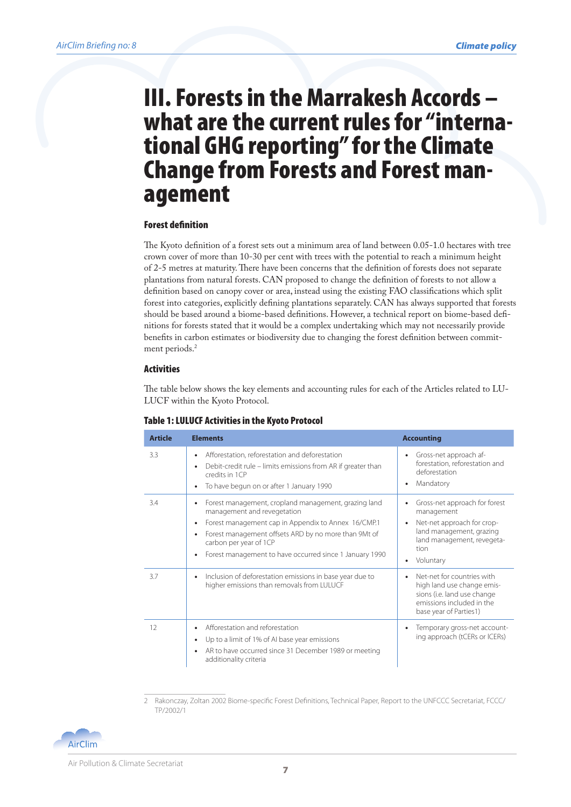## III. Forests in the Marrakesh Accords – tional GHG reporting" for the Climate Change from Forests and Forest man- agement

#### Forest definition

The Kyoto definition of a forest sets out a minimum area of land between 0.05-1.0 hectares with tree crown cover of more than 10-30 per cent with trees with the potential to reach a minimum height of 2-5 metres at maturity. There have been concerns that the definition of forests does not separate plantations from natural forests. CAN proposed to change the definition of forests to not allow a definition based on canopy cover or area, instead using the existing FAO classifications which split forest into categories, explicitly defining plantations separately. CAN has always supported that forests should be based around a biome-based definitions. However, a technical report on biome-based definitions for forests stated that it would be a complex undertaking which may not necessarily provide benefits in carbon estimates or biodiversity due to changing the forest definition between commitment periods.<sup>2</sup>

#### Activities

The table below shows the key elements and accounting rules for each of the Articles related to LU-LUCF within the Kyoto Protocol.

| <b>Article</b> | <b>Elements</b>                                                                                                                                                                                                                                                                                                                             | <b>Accounting</b>                                                                                                                                        |
|----------------|---------------------------------------------------------------------------------------------------------------------------------------------------------------------------------------------------------------------------------------------------------------------------------------------------------------------------------------------|----------------------------------------------------------------------------------------------------------------------------------------------------------|
| 3.3            | Afforestation, reforestation and deforestation<br>$\bullet$<br>Debit-credit rule - limits emissions from AR if greater than<br>$\bullet$<br>credits in 1CP<br>To have begun on or after 1 January 1990<br>$\bullet$                                                                                                                         | Gross-net approach af-<br>٠<br>forestation, reforestation and<br>deforestation<br>Mandatory<br>٠                                                         |
| 3.4            | Forest management, cropland management, grazing land<br>$\bullet$<br>management and revegetation<br>Forest management cap in Appendix to Annex 16/CMP.1<br>$\bullet$<br>Forest management offsets ARD by no more than 9Mt of<br>$\bullet$<br>carbon per year of 1CP<br>Forest management to have occurred since 1 January 1990<br>$\bullet$ | Gross-net approach for forest<br>management<br>Net-net approach for crop-<br>land management, grazing<br>land management, revegeta-<br>tion<br>Voluntary |
| 3.7            | Inclusion of deforestation emissions in base year due to<br>$\bullet$<br>higher emissions than removals from LULUCF                                                                                                                                                                                                                         | Net-net for countries with<br>high land use change emis-<br>sions (i.e. land use change<br>emissions included in the<br>base year of Parties1)           |
| 12             | Afforestation and reforestation<br>$\bullet$<br>Up to a limit of 1% of AI base year emissions<br>$\bullet$<br>AR to have occurred since 31 December 1989 or meeting<br>$\bullet$<br>additionality criteria                                                                                                                                  | Temporary gross-net account-<br>ing approach (tCERs or ICERs)                                                                                            |

#### Table 1: LULUCF Activities in the Kyoto Protocol

<sup>2</sup> Rakonczay, Zoltan 2002 Biome-specific Forest Definitions, Technical Paper, Report to the UNFCCC Secretariat, FCCC/ TP/2002/1

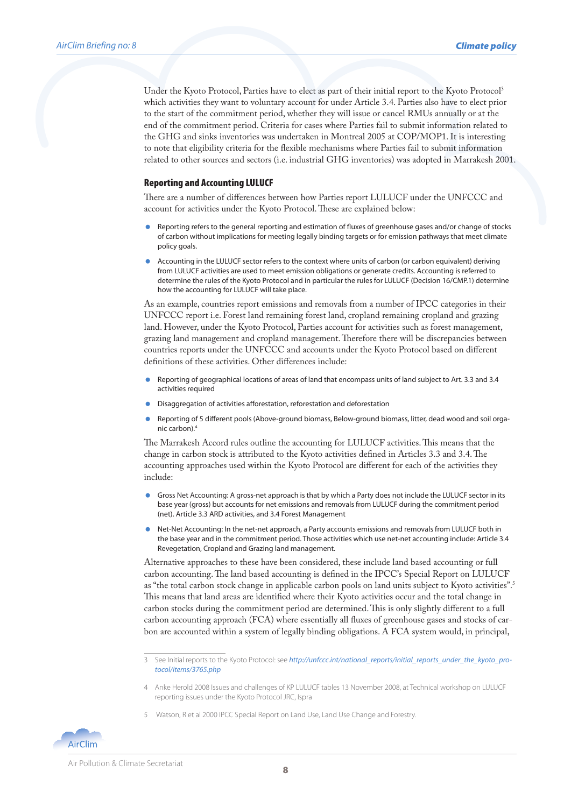Under the Kyoto Protocol, Parties have to elect as part of their initial report to the Kyoto Protocol<sup>3</sup> which activities they want to voluntary account for under Article 3.4. Parties also have to elect prior to the start of the commitment period, whether they will issue or cancel RMUs annually or at the end of the commitment period. Criteria for cases where Parties fail to submit information related to the GHG and sinks inventories was undertaken in Montreal 2005 at COP/MOP1. It is interesting to note that eligibility criteria for the flexible mechanisms where Parties fail to submit information related to other sources and sectors (i.e. industrial GHG inventories) was adopted in Marrakesh 2001.

#### Reporting and Accounting LULUCF

There are a number of differences between how Parties report LULUCF under the UNFCCC and account for activities under the Kyoto Protocol. These are explained below:

- Reporting refers to the general reporting and estimation of fluxes of greenhouse gases and/or change of stocks of carbon without implications for meeting legally binding targets or for emission pathways that meet climate policy goals.
- Accounting in the LULUCF sector refers to the context where units of carbon (or carbon equivalent) deriving from LULUCF activities are used to meet emission obligations or generate credits. Accounting is referred to determine the rules of the Kyoto Protocol and in particular the rules for LULUCF (Decision 16/CMP.1) determine how the accounting for LULUCF will take place.

As an example, countries report emissions and removals from a number of IPCC categories in their UNFCCC report i.e. Forest land remaining forest land, cropland remaining cropland and grazing land. However, under the Kyoto Protocol, Parties account for activities such as forest management, grazing land management and cropland management. Therefore there will be discrepancies between countries reports under the UNFCCC and accounts under the Kyoto Protocol based on different definitions of these activities. Other differences include:

- Reporting of geographical locations of areas of land that encompass units of land subject to Art. 3.3 and 3.4 activities required
- Disaggregation of activities afforestation, reforestation and deforestation
- Reporting of 5 different pools (Above-ground biomass, Below-ground biomass, litter, dead wood and soil organic carbon).4

The Marrakesh Accord rules outline the accounting for LULUCF activities. This means that the change in carbon stock is attributed to the Kyoto activities defined in Articles 3.3 and 3.4. The accounting approaches used within the Kyoto Protocol are different for each of the activities they include:

- Gross Net Accounting: A gross-net approach is that by which a Party does not include the LULUCF sector in its base year (gross) but accounts for net emissions and removals from LULUCF during the commitment period (net). Article 3.3 ARD activities, and 3.4 Forest Management
- Net-Net Accounting: In the net-net approach, a Party accounts emissions and removals from LULUCF both in the base year and in the commitment period. Those activities which use net-net accounting include: Article 3.4 Revegetation, Cropland and Grazing land management.

Alternative approaches to these have been considered, these include land based accounting or full carbon accounting. The land based accounting is defined in the IPCC's Special Report on LULUCF as "the total carbon stock change in applicable carbon pools on land units subject to Kyoto activities".5 This means that land areas are identified where their Kyoto activities occur and the total change in carbon stocks during the commitment period are determined. This is only slightly different to a full carbon accounting approach (FCA) where essentially all fluxes of greenhouse gases and stocks of carbon are accounted within a system of legally binding obligations. A FCA system would, in principal,

5 Watson, R et al 2000 IPCC Special Report on Land Use, Land Use Change and Forestry.



<sup>3</sup> See Initial reports to the Kyoto Protocol: see *http://unfccc.int/national\_reports/initial\_reports\_under\_the\_kyoto\_protocol/items/3765.php*

<sup>4</sup> Anke Herold 2008 Issues and challenges of KP LULUCF tables 13 November 2008, at Technical workshop on LULUCF reporting issues under the Kyoto Protocol JRC, Ispra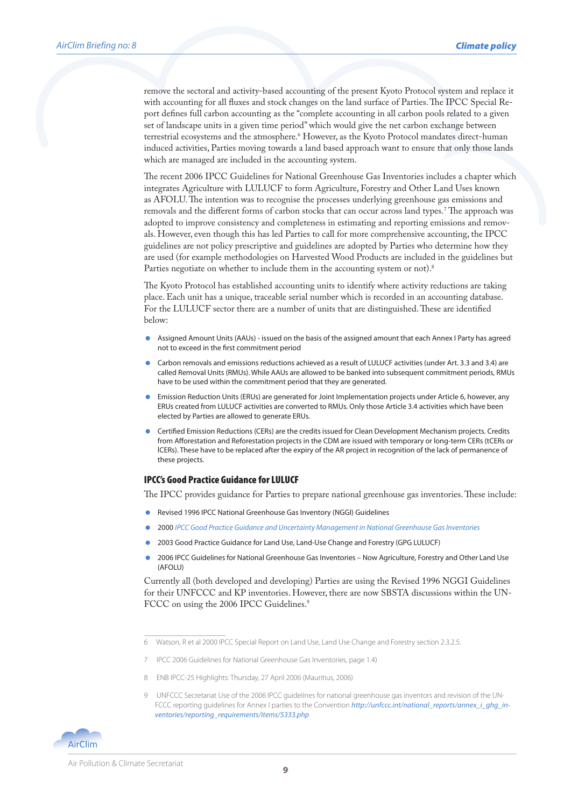remove the sectoral and activity-based accounting of the present Kyoto Protocol system and replace it with accounting for all fluxes and stock changes on the land surface of Parties. The IPCC Special Report defines full carbon accounting as the "complete accounting in all carbon pools related to a given set of landscape units in a given time period" which would give the net carbon exchange between terrestrial ecosystems and the atmosphere.6 However, as the Kyoto Protocol mandates direct-human induced activities, Parties moving towards a land based approach want to ensure that only those lands which are managed are included in the accounting system.

The recent 2006 IPCC Guidelines for National Greenhouse Gas Inventories includes a chapter which integrates Agriculture with LULUCF to form Agriculture, Forestry and Other Land Uses known as AFOLU. The intention was to recognise the processes underlying greenhouse gas emissions and removals and the different forms of carbon stocks that can occur across land types.7 The approach was adopted to improve consistency and completeness in estimating and reporting emissions and removals. However, even though this has led Parties to call for more comprehensive accounting, the IPCC guidelines are not policy prescriptive and guidelines are adopted by Parties who determine how they are used (for example methodologies on Harvested Wood Products are included in the guidelines but Parties negotiate on whether to include them in the accounting system or not).<sup>8</sup>

The Kyoto Protocol has established accounting units to identify where activity reductions are taking place. Each unit has a unique, traceable serial number which is recorded in an accounting database. For the LULUCF sector there are a number of units that are distinguished. These are identified below:

- Assigned Amount Units (AAUs) issued on the basis of the assigned amount that each Annex I Party has agreed not to exceed in the first commitment period
- Carbon removals and emissions reductions achieved as a result of LULUCF activities (under Art. 3.3 and 3.4) are called Removal Units (RMUs). While AAUs are allowed to be banked into subsequent commitment periods, RMUs have to be used within the commitment period that they are generated.
- Emission Reduction Units (ERUs) are generated for Joint Implementation projects under Article 6, however, any ERUs created from LULUCF activities are converted to RMUs. Only those Article 3.4 activities which have been elected by Parties are allowed to generate ERUs.
- Certified Emission Reductions (CERs) are the credits issued for Clean Development Mechanism projects. Credits from Afforestation and Reforestation projects in the CDM are issued with temporary or long-term CERs (tCERs or lCERs). These have to be replaced after the expiry of the AR project in recognition of the lack of permanence of these projects.

#### IPCC's Good Practice Guidance for LULUCF

The IPCC provides guidance for Parties to prepare national greenhouse gas inventories. These include:

- Revised 1996 IPCC National Greenhouse Gas Inventory (NGGI) Guidelines
- 2000 *IPCC Good Practice Guidance and Uncertainty Management in National Greenhouse Gas Inventories*
- 2003 Good Practice Guidance for Land Use, Land-Use Change and Forestry (GPG LULUCF)
- 2006 IPCC Guidelines for National Greenhouse Gas Inventories Now Agriculture, Forestry and Other Land Use (AFOLU)

Currently all (both developed and developing) Parties are using the Revised 1996 NGGI Guidelines for their UNFCCC and KP inventories. However, there are now SBSTA discussions within the UN-FCCC on using the 2006 IPCC Guidelines.<sup>9</sup>

- 8 ENB IPCC-25 Highlights: Thursday, 27 April 2006 (Mauritius, 2006)
- 9 UNFCCC Secretariat Use of the 2006 IPCC guidelines for national greenhouse gas inventors and revision of the UN-FCCC reporting quidelines for Annex I parties to the Convention http://unfccc.int/national\_reports/annex\_i\_ghg\_in*ventories/reporting\_requirements/items/5333.php*



<sup>6</sup> Watson, R et al 2000 IPCC Special Report on Land Use, Land Use Change and Forestry section 2.3.2.5.

<sup>7</sup> IPCC 2006 Guidelines for National Greenhouse Gas Inventories, page 1.4)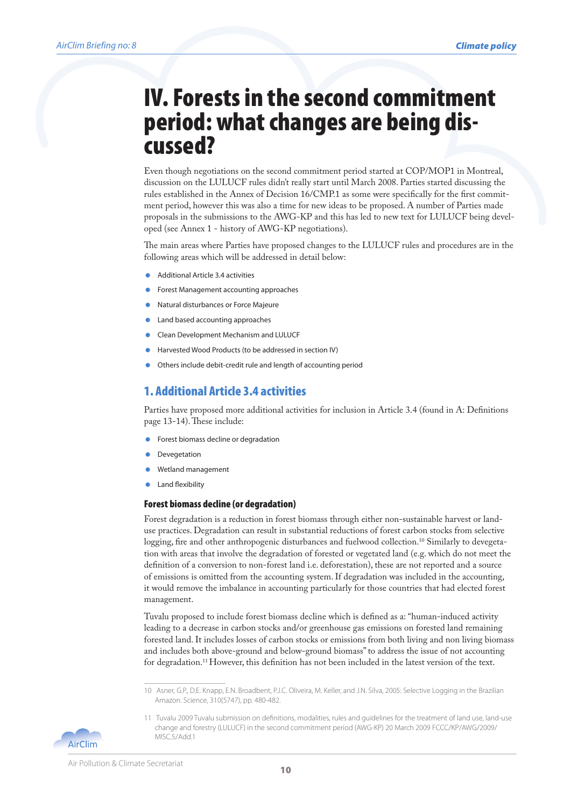## IV. Forests in the second commitment period: what changes are being dis- cussed?

Even though negotiations on the second commitment period started at COP/MOP1 in Montreal, discussion on the LULUCF rules didn't really start until March 2008. Parties started discussing the rules established in the Annex of Decision 16/CMP.1 as some were specifically for the first commitment period, however this was also a time for new ideas to be proposed. A number of Parties made proposals in the submissions to the AWG-KP and this has led to new text for LULUCF being developed (see Annex 1 - history of AWG-KP negotiations).

The main areas where Parties have proposed changes to the LULUCF rules and procedures are in the following areas which will be addressed in detail below:

- Additional Article 3.4 activities
- Forest Management accounting approaches
- Natural disturbances or Force Majeure
- Land based accounting approaches
- Clean Development Mechanism and LULUCF
- Harvested Wood Products (to be addressed in section IV)
- Others include debit-credit rule and length of accounting period

#### 1. Additional Article 3.4 activities

Parties have proposed more additional activities for inclusion in Article 3.4 (found in A: Definitions page 13-14). These include:

- Forest biomass decline or degradation
- Devegetation
- Wetland management
- Land flexibility

#### Forest biomass decline (or degradation)

Forest degradation is a reduction in forest biomass through either non-sustainable harvest or landuse practices. Degradation can result in substantial reductions of forest carbon stocks from selective logging, fire and other anthropogenic disturbances and fuelwood collection.<sup>10</sup> Similarly to devegetation with areas that involve the degradation of forested or vegetated land (e.g. which do not meet the definition of a conversion to non-forest land i.e. deforestation), these are not reported and a source of emissions is omitted from the accounting system. If degradation was included in the accounting, it would remove the imbalance in accounting particularly for those countries that had elected forest management.

Tuvalu proposed to include forest biomass decline which is defined as a: "human-induced activity leading to a decrease in carbon stocks and/or greenhouse gas emissions on forested land remaining forested land. It includes losses of carbon stocks or emissions from both living and non living biomass and includes both above-ground and below-ground biomass" to address the issue of not accounting for degradation.11 However, this definition has not been included in the latest version of the text.

<sup>11</sup> Tuvalu 2009 Tuvalu submission on definitions, modalities, rules and guidelines for the treatment of land use, land-use change and forestry (LULUCF) in the second commitment period (AWG-KP) 20 March 2009 FCCC/KP/AWG/2009/ MISC.5/Add.1



<sup>10</sup> Asner, G.P., D.E. Knapp, E.N. Broadbent, P.J.C. Oliveira, M. Keller, and J.N. Silva, 2005: Selective Logging in the Brazilian Amazon. Science, 310(5747), pp. 480-482.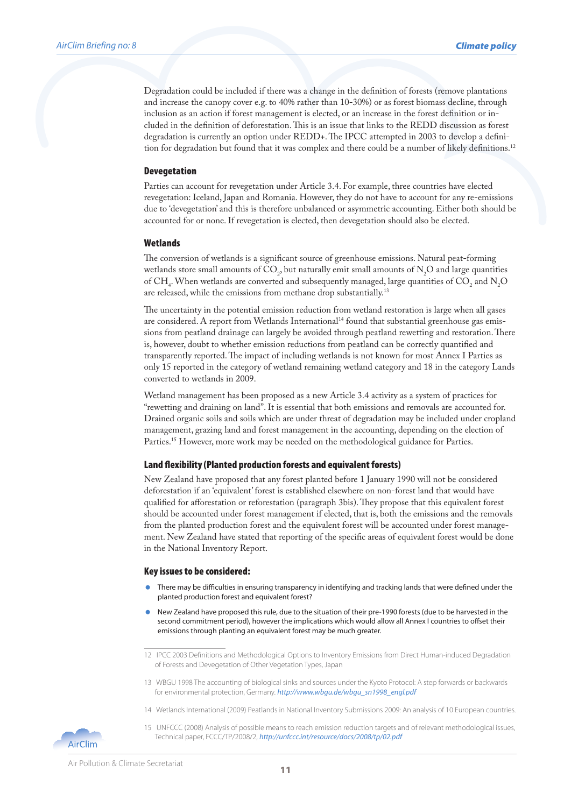Degradation could be included if there was a change in the definition of forests (remove plantations and increase the canopy cover e.g. to 40% rather than 10-30%) or as forest biomass decline, through inclusion as an action if forest management is elected, or an increase in the forest definition or included in the definition of deforestation. This is an issue that links to the REDD discussion as forest degradation is currently an option under REDD+. The IPCC attempted in 2003 to develop a definition for degradation but found that it was complex and there could be a number of likely definitions.<sup>12</sup>

#### Devegetation

Parties can account for revegetation under Article 3.4. For example, three countries have elected revegetation: Iceland, Japan and Romania. However, they do not have to account for any re-emissions due to 'devegetation' and this is therefore unbalanced or asymmetric accounting. Either both should be accounted for or none. If revegetation is elected, then devegetation should also be elected.

#### Wetlands

The conversion of wetlands is a significant source of greenhouse emissions. Natural peat-forming wetlands store small amounts of  $\text{CO}_2$ , but naturally emit small amounts of  $\text{N}_2\text{O}$  and large quantities of CH<sub>4</sub>. When wetlands are converted and subsequently managed, large quantities of CO<sub>2</sub> and N<sub>2</sub>O are released, while the emissions from methane drop substantially.<sup>13</sup>

The uncertainty in the potential emission reduction from wetland restoration is large when all gases are considered. A report from Wetlands International<sup>14</sup> found that substantial greenhouse gas emissions from peatland drainage can largely be avoided through peatland rewetting and restoration. There is, however, doubt to whether emission reductions from peatland can be correctly quantified and transparently reported. The impact of including wetlands is not known for most Annex I Parties as only 15 reported in the category of wetland remaining wetland category and 18 in the category Lands converted to wetlands in 2009.

Wetland management has been proposed as a new Article 3.4 activity as a system of practices for "rewetting and draining on land". It is essential that both emissions and removals are accounted for. Drained organic soils and soils which are under threat of degradation may be included under cropland management, grazing land and forest management in the accounting, depending on the election of Parties.15 However, more work may be needed on the methodological guidance for Parties.

#### Land flexibility (Planted production forests and equivalent forests)

New Zealand have proposed that any forest planted before 1 January 1990 will not be considered deforestation if an 'equivalent' forest is established elsewhere on non-forest land that would have qualified for afforestation or reforestation (paragraph 3bis). They propose that this equivalent forest should be accounted under forest management if elected, that is, both the emissions and the removals from the planted production forest and the equivalent forest will be accounted under forest management. New Zealand have stated that reporting of the specific areas of equivalent forest would be done in the National Inventory Report.

#### Key issues to be considered:

- There may be difficulties in ensuring transparency in identifying and tracking lands that were defined under the planted production forest and equivalent forest?
- New Zealand have proposed this rule, due to the situation of their pre-1990 forests (due to be harvested in the second commitment period), however the implications which would allow all Annex I countries to offset their emissions through planting an equivalent forest may be much greater.

- 13 WBGU 1998 The accounting of biological sinks and sources under the Kyoto Protocol: A step forwards or backwards for environmental protection, Germany. *http://www.wbgu.de/wbgu\_sn1998\_engl.pdf*
- 14 Wetlands International (2009) Peatlands in National Inventory Submissions 2009: An analysis of 10 European countries.
- 15 UNFCCC (2008) Analysis of possible means to reach emission reduction targets and of relevant methodological issues, Technical paper, FCCC/TP/2008/2, *http://unfccc.int/resource/docs/2008/tp/02.pdf*



<sup>12</sup> IPCC 2003 Definitions and Methodological Options to Inventory Emissions from Direct Human-induced Degradation of Forests and Devegetation of Other Vegetation Types, Japan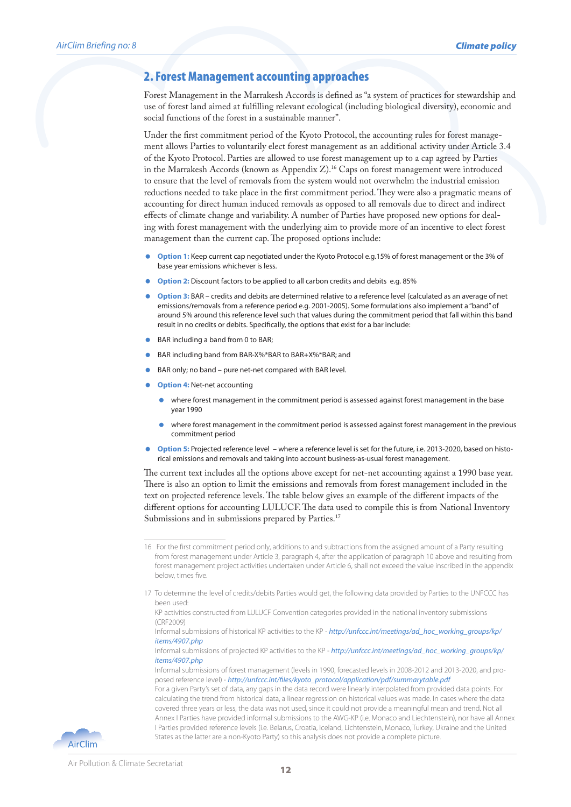#### 2. Forest Management accounting approaches

Forest Management in the Marrakesh Accords is defined as "a system of practices for stewardship and use of forest land aimed at fulfilling relevant ecological (including biological diversity), economic and social functions of the forest in a sustainable manner".

Under the first commitment period of the Kyoto Protocol, the accounting rules for forest management allows Parties to voluntarily elect forest management as an additional activity under Article 3.4 of the Kyoto Protocol. Parties are allowed to use forest management up to a cap agreed by Parties in the Marrakesh Accords (known as Appendix  $Z$ ).<sup>16</sup> Caps on forest management were introduced to ensure that the level of removals from the system would not overwhelm the industrial emission reductions needed to take place in the first commitment period. They were also a pragmatic means of accounting for direct human induced removals as opposed to all removals due to direct and indirect effects of climate change and variability. A number of Parties have proposed new options for dealing with forest management with the underlying aim to provide more of an incentive to elect forest management than the current cap. The proposed options include:

- **Option 1:** Keep current cap negotiated under the Kyoto Protocol e.g.15% of forest management or the 3% of base year emissions whichever is less.
- **Option 2:** Discount factors to be applied to all carbon credits and debits e.g. 85%
- **Option 3:** BAR credits and debits are determined relative to a reference level (calculated as an average of net emissions/removals from a reference period e.g. 2001-2005). Some formulations also implement a "band" of around 5% around this reference level such that values during the commitment period that fall within this band result in no credits or debits. Specifically, the options that exist for a bar include:
- BAR including a band from 0 to BAR;
- BAR including band from BAR-X%\*BAR to BAR+X%\*BAR; and
- BAR only; no band pure net-net compared with BAR level.
- **Option 4:** Net-net accounting
	- where forest management in the commitment period is assessed against forest management in the base year 1990
	- where forest management in the commitment period is assessed against forest management in the previous commitment period
- **Option 5:** Projected reference level where a reference level is set for the future, i.e. 2013-2020, based on historical emissions and removals and taking into account business-as-usual forest management.

The current text includes all the options above except for net-net accounting against a 1990 base year. There is also an option to limit the emissions and removals from forest management included in the text on projected reference levels. The table below gives an example of the different impacts of the different options for accounting LULUCF. The data used to compile this is from National Inventory Submissions and in submissions prepared by Parties.<sup>17</sup>



<sup>16</sup> For the first commitment period only, additions to and subtractions from the assigned amount of a Party resulting from forest management under Article 3, paragraph 4, after the application of paragraph 10 above and resulting from forest management project activities undertaken under Article 6, shall not exceed the value inscribed in the appendix below, times five.

<sup>17</sup> To determine the level of credits/debits Parties would get, the following data provided by Parties to the UNFCCC has been used:

KP activities constructed from LULUCF Convention categories provided in the national inventory submissions (CRF2009)

Informal submissions of historical KP activities to the KP - *http://unfccc.int/meetings/ad\_hoc\_working\_groups/kp/ items/4907.php*

Informal submissions of projected KP activities to the KP - *http://unfccc.int/meetings/ad\_hoc\_working\_groups/kp/ items/4907.php*

Informal submissions of forest management (levels in 1990, forecasted levels in 2008-2012 and 2013-2020, and proposed reference level) - *http://unfccc.int/files/kyoto\_protocol/application/pdf/summarytable.pdf* 

For a given Party's set of data, any gaps in the data record were linearly interpolated from provided data points. For calculating the trend from historical data, a linear regression on historical values was made. In cases where the data covered three years or less, the data was not used, since it could not provide a meaningful mean and trend. Not all Annex I Parties have provided informal submissions to the AWG-KP (i.e. Monaco and Liechtenstein), nor have all Annex I Parties provided reference levels (i.e. Belarus, Croatia, Iceland, Lichtenstein, Monaco, Turkey, Ukraine and the United States as the latter are a non-Kyoto Party) so this analysis does not provide a complete picture.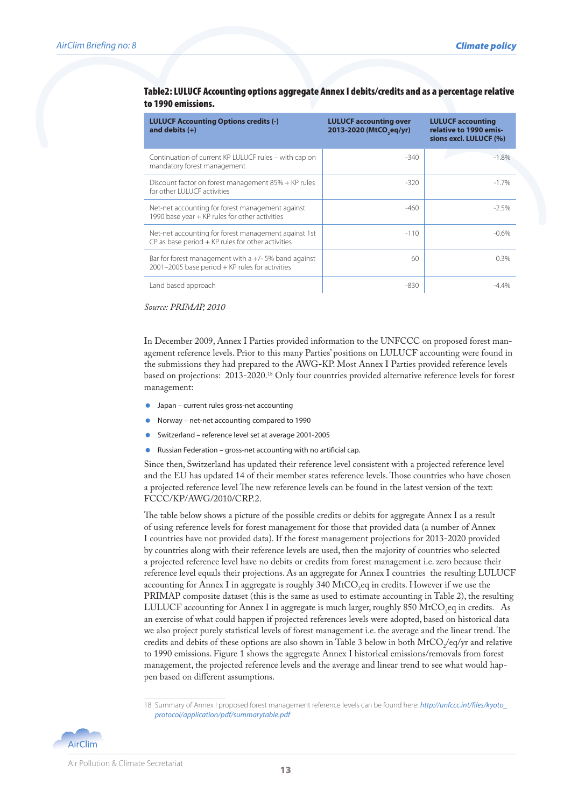| <b>LULUCF Accounting Options credits (-)</b><br>and debits $(+)$                                              | <b>LULUCF accounting over</b><br>2013-2020 (MtCO <sub>seq/yr)</sub> | <b>LULUCF accounting</b><br>relative to 1990 emis-<br>sions excl. LULUCF (%) |
|---------------------------------------------------------------------------------------------------------------|---------------------------------------------------------------------|------------------------------------------------------------------------------|
| Continuation of current KP LULUCF rules – with cap on<br>mandatory forest management                          | $-340$                                                              | $-1.8%$                                                                      |
| Discount factor on forest management 85% + KP rules<br>for other I UI UCF activities                          | $-320$                                                              | $-1.7%$                                                                      |
| Net-net accounting for forest management against<br>1990 base year + KP rules for other activities            | $-460$                                                              | $-2.5%$                                                                      |
| Net-net accounting for forest management against 1st<br>$CP$ as base period $+$ KP rules for other activities | $-110$                                                              | $-0.6%$                                                                      |
| Bar for forest management with a $+/-$ 5% band against<br>$2001 - 2005$ base period + KP rules for activities | 60                                                                  | 0.3%                                                                         |
| Land based approach                                                                                           | $-830$                                                              | -4 4%                                                                        |

#### Table2: LULUCF Accounting options aggregate Annex I debits/credits and as a percentage relative to 1990 emissions.

*Source: PRIMAP, 2010* 

In December 2009, Annex I Parties provided information to the UNFCCC on proposed forest management reference levels. Prior to this many Parties' positions on LULUCF accounting were found in the submissions they had prepared to the AWG-KP. Most Annex I Parties provided reference levels based on projections: 2013-2020.18 Only four countries provided alternative reference levels for forest management:

- **Japan current rules gross-net accounting**
- Norway net-net accounting compared to 1990
- Switzerland reference level set at average 2001-2005
- Russian Federation gross-net accounting with no artificial cap.

Since then, Switzerland has updated their reference level consistent with a projected reference level and the EU has updated 14 of their member states reference levels. Those countries who have chosen a projected reference level The new reference levels can be found in the latest version of the text: FCCC/KP/AWG/2010/CRP.2.

The table below shows a picture of the possible credits or debits for aggregate Annex I as a result of using reference levels for forest management for those that provided data (a number of Annex I countries have not provided data). If the forest management projections for 2013-2020 provided by countries along with their reference levels are used, then the majority of countries who selected a projected reference level have no debits or credits from forest management i.e. zero because their reference level equals their projections. As an aggregate for Annex I countries the resulting LULUCF accounting for Annex I in aggregate is roughly 340 MtCO<sub>2</sub>eq in credits. However if we use the PRIMAP composite dataset (this is the same as used to estimate accounting in Table 2), the resulting LULUCF accounting for Annex I in aggregate is much larger, roughly 850 MtCO<sub>2</sub>eq in credits. As an exercise of what could happen if projected references levels were adopted, based on historical data we also project purely statistical levels of forest management i.e. the average and the linear trend. The credits and debits of these options are also shown in Table 3 below in both  $\text{MtCO}_2\text{/eq/yr}$  and relative to 1990 emissions. Figure 1 shows the aggregate Annex I historical emissions/removals from forest management, the projected reference levels and the average and linear trend to see what would happen based on different assumptions.

<sup>18</sup> Summary of Annex I proposed forest management reference levels can be found here: *http://unfccc.int/files/kyoto\_ protocol/application/pdf/summarytable.pdf* 

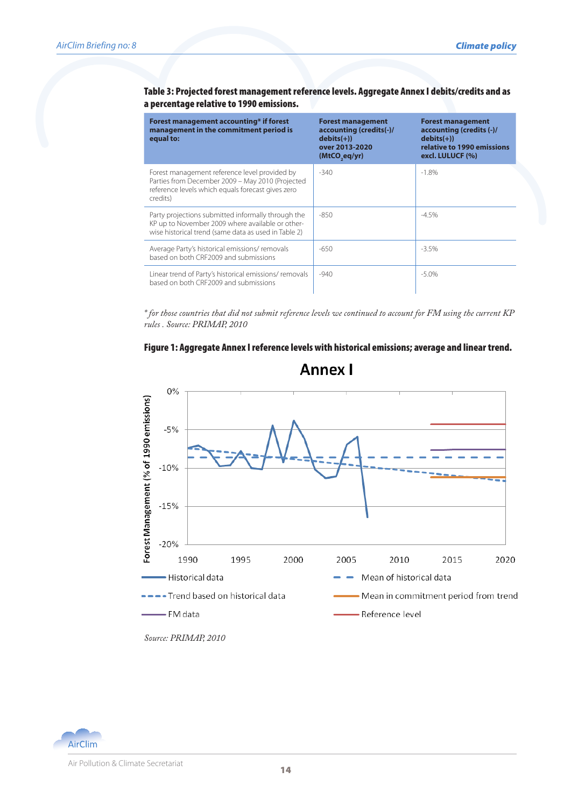#### Table 3: Projected forest management reference levels. Aggregate Annex I debits/credits and as a percentage relative to 1990 emissions.

| Forest management accounting* if forest<br>management in the commitment period is<br>equal to:                                                                     | <b>Forest management</b><br>accounting (credits(-)/<br>$debits(+)$<br>over 2013-2020<br>(MtCO <sub>seq/yr</sub> ) | <b>Forest management</b><br>accounting (credits (-)/<br>$debits(+))$<br>relative to 1990 emissions<br>excl. LULUCF (%) |
|--------------------------------------------------------------------------------------------------------------------------------------------------------------------|-------------------------------------------------------------------------------------------------------------------|------------------------------------------------------------------------------------------------------------------------|
| Forest management reference level provided by<br>Parties from December 2009 - May 2010 (Projected<br>reference levels which equals forecast gives zero<br>credits) | $-340$                                                                                                            | $-1.8%$                                                                                                                |
| Party projections submitted informally through the<br>KP up to November 2009 where available or other-<br>wise historical trend (same data as used in Table 2)     | $-850$                                                                                                            | $-4.5%$                                                                                                                |
| Average Party's historical emissions/removals<br>based on both CRE2009 and submissions                                                                             | $-650$                                                                                                            | $-3.5%$                                                                                                                |
| Linear trend of Party's historical emissions/removals<br>based on both CRE2009 and submissions                                                                     | $-940$                                                                                                            | $-5.0%$                                                                                                                |

*\* for those countries that did not submit reference levels we continued to account for FM using the current KP rules . Source: PRIMAP, 2010* 

#### Figure 1: Aggregate Annex I reference levels with historical emissions; average and linear trend.



**Annex I** 

*Source: PRIMAP, 2010*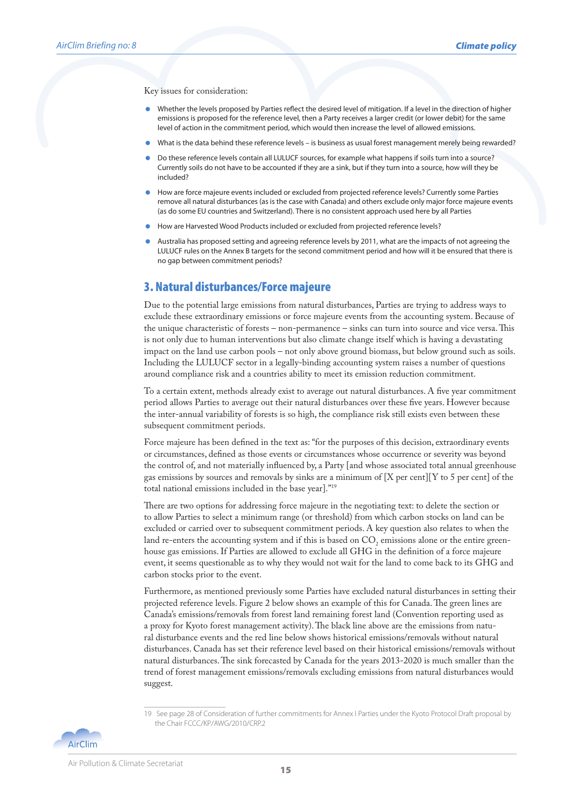Key issues for consideration:

- Whether the levels proposed by Parties reflect the desired level of mitigation. If a level in the direction of higher emissions is proposed for the reference level, then a Party receives a larger credit (or lower debit) for the same level of action in the commitment period, which would then increase the level of allowed emissions.
- What is the data behind these reference levels is business as usual forest management merely being rewarded?
- Do these reference levels contain all LULUCF sources, for example what happens if soils turn into a source? Currently soils do not have to be accounted if they are a sink, but if they turn into a source, how will they be included?
- How are force majeure events included or excluded from projected reference levels? Currently some Parties remove all natural disturbances (as is the case with Canada) and others exclude only major force majeure events (as do some EU countries and Switzerland). There is no consistent approach used here by all Parties
- How are Harvested Wood Products included or excluded from projected reference levels?
- Australia has proposed setting and agreeing reference levels by 2011, what are the impacts of not agreeing the LULUCF rules on the Annex B targets for the second commitment period and how will it be ensured that there is no gap between commitment periods?

#### 3. Natural disturbances/Force majeure

Due to the potential large emissions from natural disturbances, Parties are trying to address ways to exclude these extraordinary emissions or force majeure events from the accounting system. Because of the unique characteristic of forests – non-permanence – sinks can turn into source and vice versa. This is not only due to human interventions but also climate change itself which is having a devastating impact on the land use carbon pools – not only above ground biomass, but below ground such as soils. Including the LULUCF sector in a legally-binding accounting system raises a number of questions around compliance risk and a countries ability to meet its emission reduction commitment.

To a certain extent, methods already exist to average out natural disturbances. A five year commitment period allows Parties to average out their natural disturbances over these five years. However because the inter-annual variability of forests is so high, the compliance risk still exists even between these subsequent commitment periods.

Force majeure has been defined in the text as: "for the purposes of this decision, extraordinary events or circumstances, defined as those events or circumstances whose occurrence or severity was beyond the control of, and not materially influenced by, a Party [and whose associated total annual greenhouse gas emissions by sources and removals by sinks are a minimum of  $[X \text{ per cent}][Y \text{ to } 5 \text{ per cent}]$  of the total national emissions included in the base year]."19

There are two options for addressing force majeure in the negotiating text: to delete the section or to allow Parties to select a minimum range (or threshold) from which carbon stocks on land can be excluded or carried over to subsequent commitment periods. A key question also relates to when the land re-enters the accounting system and if this is based on  $CO_2$  emissions alone or the entire greenhouse gas emissions. If Parties are allowed to exclude all GHG in the definition of a force majeure event, it seems questionable as to why they would not wait for the land to come back to its GHG and carbon stocks prior to the event.

Furthermore, as mentioned previously some Parties have excluded natural disturbances in setting their projected reference levels. Figure 2 below shows an example of this for Canada. The green lines are Canada's emissions/removals from forest land remaining forest land (Convention reporting used as a proxy for Kyoto forest management activity). The black line above are the emissions from natural disturbance events and the red line below shows historical emissions/removals without natural disturbances. Canada has set their reference level based on their historical emissions/removals without natural disturbances. The sink forecasted by Canada for the years 2013-2020 is much smaller than the trend of forest management emissions/removals excluding emissions from natural disturbances would suggest.

<sup>19</sup> See page 28 of Consideration of further commitments for Annex I Parties under the Kyoto Protocol Draft proposal by the Chair FCCC/KP/AWG/2010/CRP.2

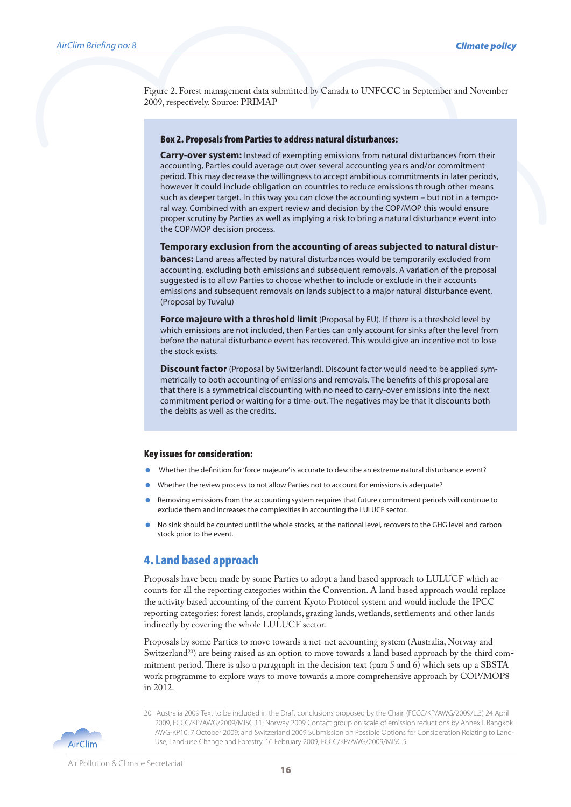Figure 2. Forest management data submitted by Canada to UNFCCC in September and November 2009, respectively. Source: PRIMAP

#### Box 2. Proposals from Parties to address natural disturbances:

**Carry-over system:** Instead of exempting emissions from natural disturbances from their accounting, Parties could average out over several accounting years and/or commitment period. This may decrease the willingness to accept ambitious commitments in later periods, however it could include obligation on countries to reduce emissions through other means such as deeper target. In this way you can close the accounting system – but not in a temporal way. Combined with an expert review and decision by the COP/MOP this would ensure proper scrutiny by Parties as well as implying a risk to bring a natural disturbance event into the COP/MOP decision process.

**Temporary exclusion from the accounting of areas subjected to natural distur-**

**bances:** Land areas affected by natural disturbances would be temporarily excluded from accounting, excluding both emissions and subsequent removals. A variation of the proposal suggested is to allow Parties to choose whether to include or exclude in their accounts emissions and subsequent removals on lands subject to a major natural disturbance event. (Proposal by Tuvalu)

**Force majeure with a threshold limit** (Proposal by EU). If there is a threshold level by which emissions are not included, then Parties can only account for sinks after the level from before the natural disturbance event has recovered. This would give an incentive not to lose the stock exists.

**Discount factor** (Proposal by Switzerland). Discount factor would need to be applied symmetrically to both accounting of emissions and removals. The benefits of this proposal are that there is a symmetrical discounting with no need to carry-over emissions into the next commitment period or waiting for a time-out. The negatives may be that it discounts both the debits as well as the credits.

#### Key issues for consideration:

- Whether the definition for 'force majeure' is accurate to describe an extreme natural disturbance event?
- Whether the review process to not allow Parties not to account for emissions is adequate?
- Removing emissions from the accounting system requires that future commitment periods will continue to exclude them and increases the complexities in accounting the LULUCF sector.
- No sink should be counted until the whole stocks, at the national level, recovers to the GHG level and carbon stock prior to the event.

#### 4. Land based approach

Proposals have been made by some Parties to adopt a land based approach to LULUCF which accounts for all the reporting categories within the Convention. A land based approach would replace the activity based accounting of the current Kyoto Protocol system and would include the IPCC reporting categories: forest lands, croplands, grazing lands, wetlands, settlements and other lands indirectly by covering the whole LULUCF sector.

Proposals by some Parties to move towards a net-net accounting system (Australia, Norway and Switzerland<sup>20</sup>) are being raised as an option to move towards a land based approach by the third commitment period. There is also a paragraph in the decision text (para 5 and 6) which sets up a SBSTA work programme to explore ways to move towards a more comprehensive approach by COP/MOP8 in 2012.

**AirClim** 

<sup>20</sup> Australia 2009 Text to be included in the Draft conclusions proposed by the Chair. (FCCC/KP/AWG/2009/L.3) 24 April 2009, FCCC/KP/AWG/2009/MISC.11; Norway 2009 Contact group on scale of emission reductions by Annex I, Bangkok AWG-KP10, 7 October 2009; and Switzerland 2009 Submission on Possible Options for Consideration Relating to Land-Use, Land-use Change and Forestry, 16 February 2009, FCCC/KP/AWG/2009/MISC.5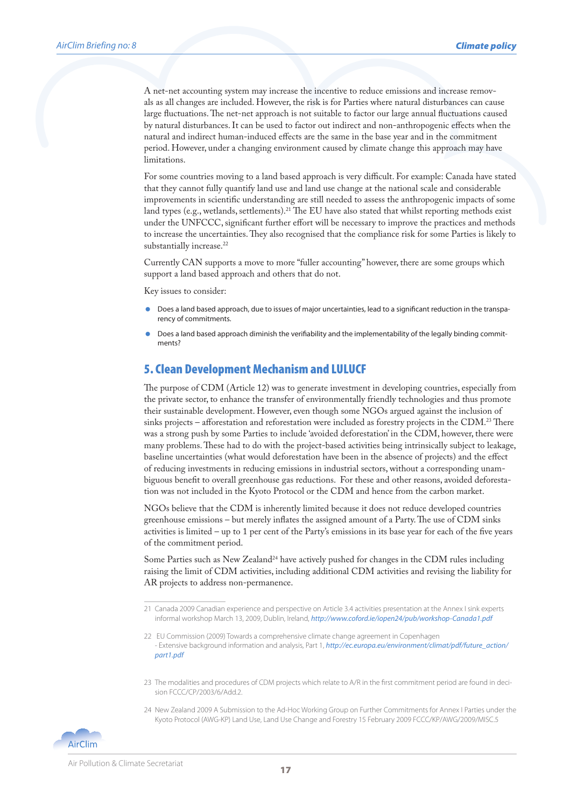A net-net accounting system may increase the incentive to reduce emissions and increase removals as all changes are included. However, the risk is for Parties where natural disturbances can cause large fluctuations. The net-net approach is not suitable to factor our large annual fluctuations caused by natural disturbances. It can be used to factor out indirect and non-anthropogenic effects when the natural and indirect human-induced effects are the same in the base year and in the commitment period. However, under a changing environment caused by climate change this approach may have limitations.

For some countries moving to a land based approach is very difficult. For example: Canada have stated that they cannot fully quantify land use and land use change at the national scale and considerable improvements in scientific understanding are still needed to assess the anthropogenic impacts of some land types (e.g., wetlands, settlements).21 The EU have also stated that whilst reporting methods exist under the UNFCCC, significant further effort will be necessary to improve the practices and methods to increase the uncertainties. They also recognised that the compliance risk for some Parties is likely to substantially increase.<sup>22</sup>

Currently CAN supports a move to more "fuller accounting" however, there are some groups which support a land based approach and others that do not.

Key issues to consider:

- Does a land based approach, due to issues of major uncertainties, lead to a significant reduction in the transparency of commitments.
- Does a land based approach diminish the verifiability and the implementability of the legally binding commitments?

#### 5. Clean Development Mechanism and LULUCF

The purpose of CDM (Article 12) was to generate investment in developing countries, especially from the private sector, to enhance the transfer of environmentally friendly technologies and thus promote their sustainable development. However, even though some NGOs argued against the inclusion of sinks projects – afforestation and reforestation were included as forestry projects in the CDM.23 There was a strong push by some Parties to include 'avoided deforestation' in the CDM, however, there were many problems. These had to do with the project-based activities being intrinsically subject to leakage, baseline uncertainties (what would deforestation have been in the absence of projects) and the effect of reducing investments in reducing emissions in industrial sectors, without a corresponding unambiguous benefit to overall greenhouse gas reductions. For these and other reasons, avoided deforestation was not included in the Kyoto Protocol or the CDM and hence from the carbon market.

NGOs believe that the CDM is inherently limited because it does not reduce developed countries greenhouse emissions – but merely inflates the assigned amount of a Party. The use of CDM sinks activities is limited – up to 1 per cent of the Party's emissions in its base year for each of the five years of the commitment period.

Some Parties such as New Zealand<sup>24</sup> have actively pushed for changes in the CDM rules including raising the limit of CDM activities, including additional CDM activities and revising the liability for AR projects to address non-permanence.

24 New Zealand 2009 A Submission to the Ad-Hoc Working Group on Further Commitments for Annex I Parties under the Kyoto Protocol (AWG-KP) Land Use, Land Use Change and Forestry 15 February 2009 FCCC/KP/AWG/2009/MISC.5



<sup>21</sup> Canada 2009 Canadian experience and perspective on Article 3.4 activities presentation at the Annex I sink experts informal workshop March 13, 2009, Dublin, Ireland, *http://www.coford.ie/iopen24/pub/workshop-Canada1.pdf*

<sup>22</sup> EU Commission (2009) Towards a comprehensive climate change agreement in Copenhagen - Extensive background information and analysis, Part 1, *http://ec.europa.eu/environment/climat/pdf/future\_action/ part1.pdf*

<sup>23</sup> The modalities and procedures of CDM projects which relate to A/R in the first commitment period are found in decision FCCC/CP/2003/6/Add.2.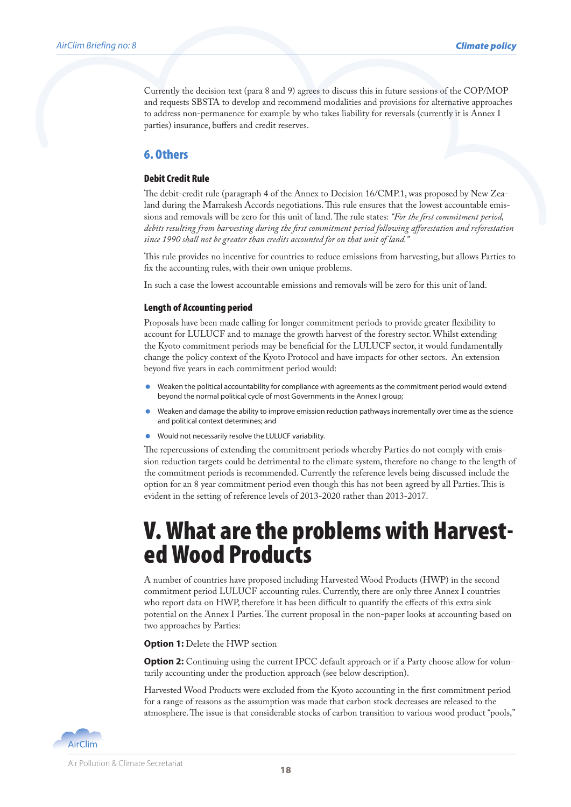Currently the decision text (para 8 and 9) agrees to discuss this in future sessions of the COP/MOP and requests SBSTA to develop and recommend modalities and provisions for alternative approaches to address non-permanence for example by who takes liability for reversals (currently it is Annex I parties) insurance, buffers and credit reserves.

#### 6. Others

#### Debit Credit Rule

The debit-credit rule (paragraph 4 of the Annex to Decision 16/CMP.1, was proposed by New Zealand during the Marrakesh Accords negotiations. This rule ensures that the lowest accountable emissions and removals will be zero for this unit of land. The rule states: *"For the first commitment period, debits resulting from harvesting during the first commitment period following afforestation and reforestation since 1990 shall not be greater than credits accounted for on that unit of land."*

This rule provides no incentive for countries to reduce emissions from harvesting, but allows Parties to fix the accounting rules, with their own unique problems.

In such a case the lowest accountable emissions and removals will be zero for this unit of land.

#### Length of Accounting period

Proposals have been made calling for longer commitment periods to provide greater flexibility to account for LULUCF and to manage the growth harvest of the forestry sector. Whilst extending the Kyoto commitment periods may be beneficial for the LULUCF sector, it would fundamentally change the policy context of the Kyoto Protocol and have impacts for other sectors. An extension beyond five years in each commitment period would:

- Weaken the political accountability for compliance with agreements as the commitment period would extend beyond the normal political cycle of most Governments in the Annex I group;
- Weaken and damage the ability to improve emission reduction pathways incrementally over time as the science and political context determines; and
- Would not necessarily resolve the LULUCF variability.

The repercussions of extending the commitment periods whereby Parties do not comply with emission reduction targets could be detrimental to the climate system, therefore no change to the length of the commitment periods is recommended. Currently the reference levels being discussed include the option for an 8 year commitment period even though this has not been agreed by all Parties. This is evident in the setting of reference levels of 2013-2020 rather than 2013-2017.

# V. What are the problems with Harvest- ed Wood Products

A number of countries have proposed including Harvested Wood Products (HWP) in the second commitment period LULUCF accounting rules. Currently, there are only three Annex I countries who report data on HWP, therefore it has been difficult to quantify the effects of this extra sink potential on the Annex I Parties. The current proposal in the non-paper looks at accounting based on two approaches by Parties:

**Option 1: Delete the HWP section** 

**Option 2:** Continuing using the current IPCC default approach or if a Party choose allow for voluntarily accounting under the production approach (see below description).

Harvested Wood Products were excluded from the Kyoto accounting in the first commitment period for a range of reasons as the assumption was made that carbon stock decreases are released to the atmosphere. The issue is that considerable stocks of carbon transition to various wood product "pools,"

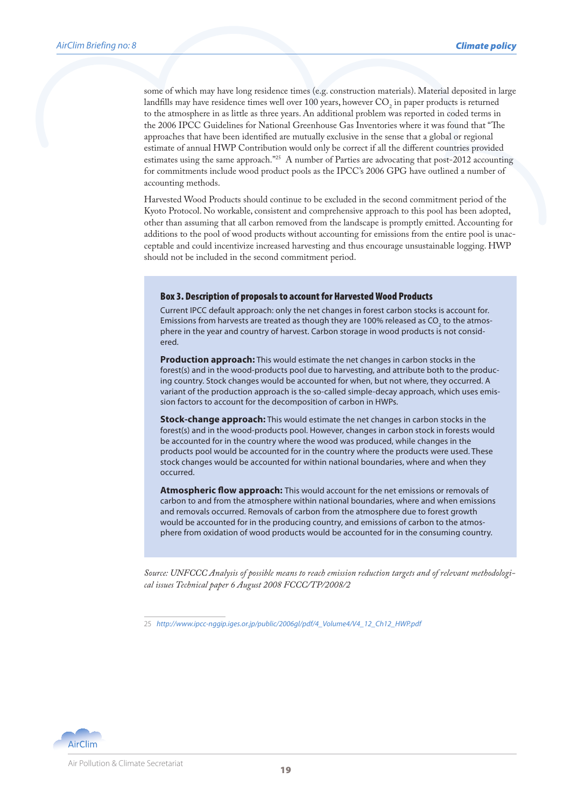some of which may have long residence times (e.g. construction materials). Material deposited in large landfills may have residence times well over  $100$  years, however  $\mathrm{CO}_2$  in paper products is returned to the atmosphere in as little as three years. An additional problem was reported in coded terms in the 2006 IPCC Guidelines for National Greenhouse Gas Inventories where it was found that "The approaches that have been identified are mutually exclusive in the sense that a global or regional estimate of annual HWP Contribution would only be correct if all the different countries provided estimates using the same approach."<sup>25</sup> A number of Parties are advocating that post-2012 accounting for commitments include wood product pools as the IPCC's 2006 GPG have outlined a number of accounting methods.

Harvested Wood Products should continue to be excluded in the second commitment period of the Kyoto Protocol. No workable, consistent and comprehensive approach to this pool has been adopted, other than assuming that all carbon removed from the landscape is promptly emitted. Accounting for additions to the pool of wood products without accounting for emissions from the entire pool is unacceptable and could incentivize increased harvesting and thus encourage unsustainable logging. HWP should not be included in the second commitment period.

#### Box 3. Description of proposals to account for Harvested Wood Products

Current IPCC default approach: only the net changes in forest carbon stocks is account for. Emissions from harvests are treated as though they are 100% released as CO<sub>2</sub> to the atmosphere in the year and country of harvest. Carbon storage in wood products is not considered.

**Production approach:** This would estimate the net changes in carbon stocks in the forest(s) and in the wood-products pool due to harvesting, and attribute both to the producing country. Stock changes would be accounted for when, but not where, they occurred. A variant of the production approach is the so-called simple-decay approach, which uses emission factors to account for the decomposition of carbon in HWPs.

**Stock-change approach:** This would estimate the net changes in carbon stocks in the forest(s) and in the wood-products pool. However, changes in carbon stock in forests would be accounted for in the country where the wood was produced, while changes in the products pool would be accounted for in the country where the products were used. These stock changes would be accounted for within national boundaries, where and when they occurred.

**Atmospheric flow approach:** This would account for the net emissions or removals of carbon to and from the atmosphere within national boundaries, where and when emissions and removals occurred. Removals of carbon from the atmosphere due to forest growth would be accounted for in the producing country, and emissions of carbon to the atmosphere from oxidation of wood products would be accounted for in the consuming country.

*Source: UNFCCC Analysis of possible means to reach emission reduction targets and of relevant methodological issues Technical paper 6 August 2008 FCCC/TP/2008/2*



<sup>25</sup> *http://www.ipcc-nggip.iges.or.jp/public/2006gl/pdf/4\_Volume4/V4\_12\_Ch12\_HWP.pdf*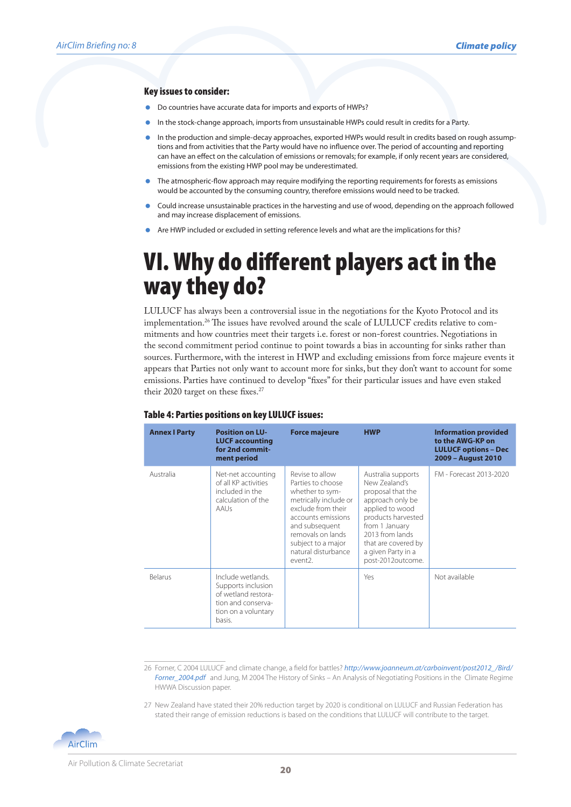#### Key issues to consider:

- Do countries have accurate data for imports and exports of HWPs?
- In the stock-change approach, imports from unsustainable HWPs could result in credits for a Party.
- In the production and simple-decay approaches, exported HWPs would result in credits based on rough assumptions and from activities that the Party would have no influence over. The period of accounting and reporting can have an effect on the calculation of emissions or removals; for example, if only recent years are considered, emissions from the existing HWP pool may be underestimated.
- The atmospheric-flow approach may require modifying the reporting requirements for forests as emissions would be accounted by the consuming country, therefore emissions would need to be tracked.
- Could increase unsustainable practices in the harvesting and use of wood, depending on the approach followed and may increase displacement of emissions.
- Are HWP included or excluded in setting reference levels and what are the implications for this?

### VI. Why do different players act in the way they do?

LULUCF has always been a controversial issue in the negotiations for the Kyoto Protocol and its implementation.26 The issues have revolved around the scale of LULUCF credits relative to commitments and how countries meet their targets i.e. forest or non-forest countries. Negotiations in the second commitment period continue to point towards a bias in accounting for sinks rather than sources. Furthermore, with the interest in HWP and excluding emissions from force majeure events it appears that Parties not only want to account more for sinks, but they don't want to account for some emissions. Parties have continued to develop "fixes" for their particular issues and have even staked their 2020 target on these fixes.<sup>27</sup>

| <b>Annex I Party</b> | <b>Position on LU-</b><br><b>LUCF accounting</b><br>for 2nd commit-<br>ment period                                    | <b>Force majeure</b>                                                                                                                                                                                                                   | <b>HWP</b>                                                                                                                                                                                                                   | <b>Information provided</b><br>to the AWG-KP on<br><b>LULUCF options - Dec</b><br>2009 - August 2010 |
|----------------------|-----------------------------------------------------------------------------------------------------------------------|----------------------------------------------------------------------------------------------------------------------------------------------------------------------------------------------------------------------------------------|------------------------------------------------------------------------------------------------------------------------------------------------------------------------------------------------------------------------------|------------------------------------------------------------------------------------------------------|
| Australia            | Net-net accounting<br>of all KP activities<br>included in the<br>calculation of the<br>AAUs                           | Revise to allow<br>Parties to choose<br>whether to sym-<br>metrically include or<br>exclude from their<br>accounts emissions<br>and subsequent<br>removals on lands<br>subject to a major<br>natural disturbance<br>event <sub>2</sub> | Australia supports<br>New Zealand's<br>proposal that the<br>approach only be<br>applied to wood<br>products harvested<br>from 1 January<br>2013 from lands<br>that are covered by<br>a given Party in a<br>post-2012outcome. | FM - Forecast 2013-2020                                                                              |
| <b>Belarus</b>       | Include wetlands.<br>Supports inclusion<br>of wetland restora-<br>tion and conserva-<br>tion on a voluntary<br>basis. |                                                                                                                                                                                                                                        | Yes                                                                                                                                                                                                                          | Not available                                                                                        |

#### Table 4: Parties positions on key LULUCF issues:

26 Forner, C 2004 LULUCF and climate change, a field for battles? *http://www.joanneum.at/carboinvent/post2012\_/Bird/ Forner\_2004.pdf* and Jung, M 2004 The History of Sinks – An Analysis of Negotiating Positions in the Climate Regime HWWA Discussion paper.

27 New Zealand have stated their 20% reduction target by 2020 is conditional on LULUCF and Russian Federation has stated their range of emission reductions is based on the conditions that LULUCF will contribute to the target.

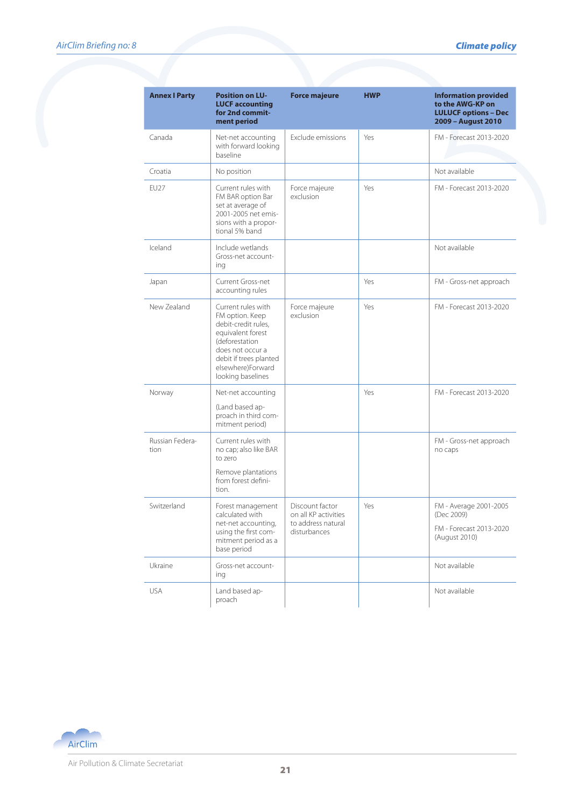| <b>Annex I Party</b>    | <b>Position on LU-</b><br><b>LUCF accounting</b><br>for 2nd commit-<br>ment period                                                                                                          | <b>Force majeure</b>                                                          | <b>HWP</b> | <b>Information provided</b><br>to the AWG-KP on<br><b>LULUCF options - Dec</b><br>2009 - August 2010 |
|-------------------------|---------------------------------------------------------------------------------------------------------------------------------------------------------------------------------------------|-------------------------------------------------------------------------------|------------|------------------------------------------------------------------------------------------------------|
| Canada                  | Net-net accounting<br>with forward looking<br>baseline                                                                                                                                      | Exclude emissions                                                             | Yes        | FM - Forecast 2013-2020                                                                              |
| Croatia                 | No position                                                                                                                                                                                 |                                                                               |            | Not available                                                                                        |
| EU27                    | Current rules with<br>FM BAR option Bar<br>set at average of<br>2001-2005 net emis-<br>sions with a propor-<br>tional 5% band                                                               | Force majeure<br>exclusion                                                    | Yes        | FM - Forecast 2013-2020                                                                              |
| Iceland                 | Include wetlands<br>Gross-net account-<br>ing                                                                                                                                               |                                                                               |            | Not available                                                                                        |
| Japan                   | Current Gross-net<br>accounting rules                                                                                                                                                       |                                                                               | Yes        | FM - Gross-net approach                                                                              |
| New Zealand             | Current rules with<br>FM option. Keep<br>debit-credit rules,<br>equivalent forest<br>(deforestation<br>does not occur a<br>debit if trees planted<br>elsewhere)Forward<br>looking baselines | Force majeure<br>exclusion                                                    | Yes        | FM - Forecast 2013-2020                                                                              |
| Norway                  | Net-net accounting<br>(Land based ap-<br>proach in third com-<br>mitment period)                                                                                                            |                                                                               | Yes        | FM - Forecast 2013-2020                                                                              |
| Russian Federa-<br>tion | Current rules with<br>no cap; also like BAR<br>to zero<br>Remove plantations<br>from forest defini-<br>tion                                                                                 |                                                                               |            | FM - Gross-net approach<br>no caps                                                                   |
| Switzerland             | Forest management<br>calculated with<br>net-net accounting,<br>using the first com-<br>mitment period as a<br>base period                                                                   | Discount factor<br>on all KP activities<br>to address natural<br>disturbances | Yes        | FM - Average 2001-2005<br>(Dec 2009)<br>FM - Forecast 2013-2020<br>(August 2010)                     |
| Ukraine                 | Gross-net account-<br>ing                                                                                                                                                                   |                                                                               |            | Not available                                                                                        |
| <b>USA</b>              | Land based ap-<br>proach                                                                                                                                                                    |                                                                               |            | Not available                                                                                        |

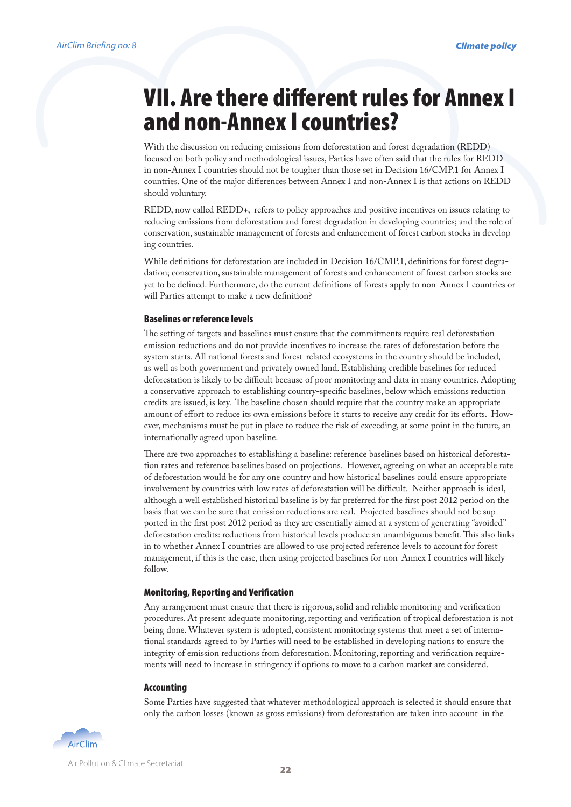### VII. Are there different rules for Annex I and non-Annex I countries?

With the discussion on reducing emissions from deforestation and forest degradation (REDD) focused on both policy and methodological issues, Parties have often said that the rules for REDD in non-Annex I countries should not be tougher than those set in Decision 16/CMP.1 for Annex I countries. One of the major differences between Annex I and non-Annex I is that actions on REDD should voluntary.

REDD, now called REDD+, refers to policy approaches and positive incentives on issues relating to reducing emissions from deforestation and forest degradation in developing countries; and the role of conservation, sustainable management of forests and enhancement of forest carbon stocks in developing countries.

While definitions for deforestation are included in Decision 16/CMP.1, definitions for forest degradation; conservation, sustainable management of forests and enhancement of forest carbon stocks are yet to be defined. Furthermore, do the current definitions of forests apply to non-Annex I countries or will Parties attempt to make a new definition?

#### Baselines or reference levels

The setting of targets and baselines must ensure that the commitments require real deforestation emission reductions and do not provide incentives to increase the rates of deforestation before the system starts. All national forests and forest-related ecosystems in the country should be included, as well as both government and privately owned land. Establishing credible baselines for reduced deforestation is likely to be difficult because of poor monitoring and data in many countries. Adopting a conservative approach to establishing country-specific baselines, below which emissions reduction credits are issued, is key. The baseline chosen should require that the country make an appropriate amount of effort to reduce its own emissions before it starts to receive any credit for its efforts. However, mechanisms must be put in place to reduce the risk of exceeding, at some point in the future, an internationally agreed upon baseline.

There are two approaches to establishing a baseline: reference baselines based on historical deforestation rates and reference baselines based on projections. However, agreeing on what an acceptable rate of deforestation would be for any one country and how historical baselines could ensure appropriate involvement by countries with low rates of deforestation will be difficult. Neither approach is ideal, although a well established historical baseline is by far preferred for the first post 2012 period on the basis that we can be sure that emission reductions are real. Projected baselines should not be supported in the first post 2012 period as they are essentially aimed at a system of generating "avoided" deforestation credits: reductions from historical levels produce an unambiguous benefit. This also links in to whether Annex I countries are allowed to use projected reference levels to account for forest management, if this is the case, then using projected baselines for non-Annex I countries will likely follow.

#### Monitoring, Reporting and Verification

Any arrangement must ensure that there is rigorous, solid and reliable monitoring and verification procedures. At present adequate monitoring, reporting and verification of tropical deforestation is not being done. Whatever system is adopted, consistent monitoring systems that meet a set of international standards agreed to by Parties will need to be established in developing nations to ensure the integrity of emission reductions from deforestation. Monitoring, reporting and verification requirements will need to increase in stringency if options to move to a carbon market are considered.

#### Accounting

Some Parties have suggested that whatever methodological approach is selected it should ensure that only the carbon losses (known as gross emissions) from deforestation are taken into account in the

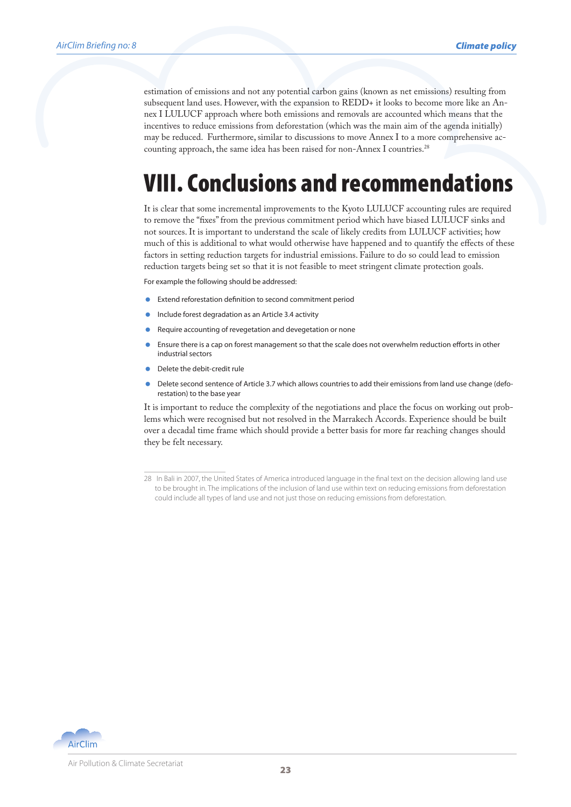estimation of emissions and not any potential carbon gains (known as net emissions) resulting from subsequent land uses. However, with the expansion to REDD+ it looks to become more like an Annex I LULUCF approach where both emissions and removals are accounted which means that the incentives to reduce emissions from deforestation (which was the main aim of the agenda initially) may be reduced. Furthermore, similar to discussions to move Annex I to a more comprehensive accounting approach, the same idea has been raised for non-Annex I countries.<sup>28</sup>

## VIII. Conclusions and recommendations

It is clear that some incremental improvements to the Kyoto LULUCF accounting rules are required to remove the "fixes" from the previous commitment period which have biased LULUCF sinks and not sources. It is important to understand the scale of likely credits from LULUCF activities; how much of this is additional to what would otherwise have happened and to quantify the effects of these factors in setting reduction targets for industrial emissions. Failure to do so could lead to emission reduction targets being set so that it is not feasible to meet stringent climate protection goals.

For example the following should be addressed:

- Extend reforestation definition to second commitment period
- Include forest degradation as an Article 3.4 activity
- Require accounting of revegetation and devegetation or none
- Ensure there is a cap on forest management so that the scale does not overwhelm reduction efforts in other industrial sectors
- Delete the debit-credit rule
- Delete second sentence of Article 3.7 which allows countries to add their emissions from land use change (deforestation) to the base year

It is important to reduce the complexity of the negotiations and place the focus on working out problems which were recognised but not resolved in the Marrakech Accords. Experience should be built over a decadal time frame which should provide a better basis for more far reaching changes should they be felt necessary.



<sup>28</sup> In Bali in 2007, the United States of America introduced language in the final text on the decision allowing land use to be brought in. The implications of the inclusion of land use within text on reducing emissions from deforestation could include all types of land use and not just those on reducing emissions from deforestation.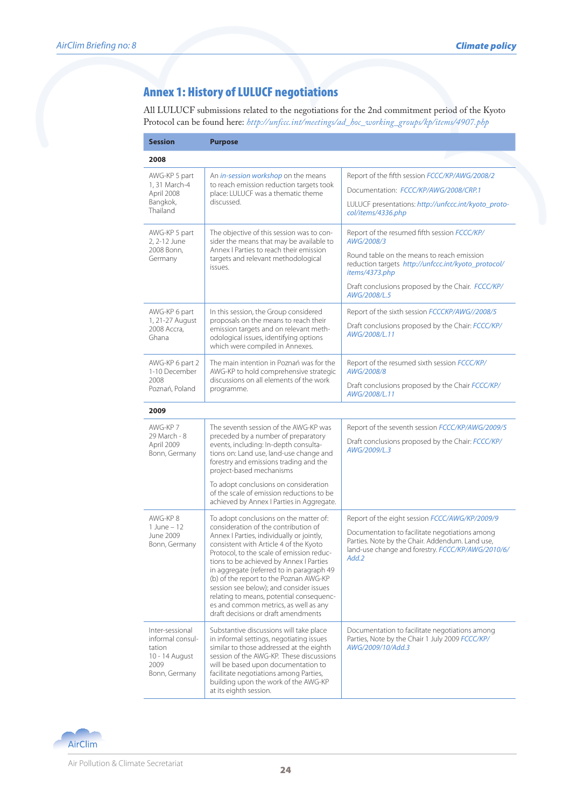#### Annex 1: History of LULUCF negotiations

All LULUCF submissions related to the negotiations for the 2nd commitment period of the Kyoto Protocol can be found here: *http://unfccc.int/meetings/ad\_hoc\_working\_groups/kp/items/4907.php*

| <b>Session</b>                                                                           | <b>Purpose</b>                                                                                                                                                                                                                                                                                                                                                                                                                                                                                                              |                                                                                                                                                                                                                                                        |
|------------------------------------------------------------------------------------------|-----------------------------------------------------------------------------------------------------------------------------------------------------------------------------------------------------------------------------------------------------------------------------------------------------------------------------------------------------------------------------------------------------------------------------------------------------------------------------------------------------------------------------|--------------------------------------------------------------------------------------------------------------------------------------------------------------------------------------------------------------------------------------------------------|
| 2008                                                                                     |                                                                                                                                                                                                                                                                                                                                                                                                                                                                                                                             |                                                                                                                                                                                                                                                        |
| AWG-KP 5 part<br>1, 31 March-4<br>April 2008<br>Bangkok,<br>Thailand                     | An <i>in-session workshop</i> on the means<br>to reach emission reduction targets took<br>place: LULUCF was a thematic theme<br>discussed.                                                                                                                                                                                                                                                                                                                                                                                  | Report of the fifth session FCCC/KP/AWG/2008/2<br>Documentation: FCCC/KP/AWG/2008/CRP.1<br>LULUCF presentations: http://unfccc.int/kyoto_proto-<br>col/items/4336.php                                                                                  |
| AWG-KP 5 part<br>2, 2-12 June<br>2008 Bonn,<br>Germany                                   | The objective of this session was to con-<br>sider the means that may be available to<br>Annex   Parties to reach their emission<br>targets and relevant methodological<br>issues.                                                                                                                                                                                                                                                                                                                                          | Report of the resumed fifth session FCCC/KP/<br>AWG/2008/3<br>Round table on the means to reach emission<br>reduction targets http://unfccc.int/kyoto_protocol/<br>items/4373.php<br>Draft conclusions proposed by the Chair. FCCC/KP/<br>AWG/2008/L.5 |
| AWG-KP 6 part<br>1, 21-27 August<br>2008 Accra.<br>Ghana                                 | In this session, the Group considered<br>proposals on the means to reach their<br>emission targets and on relevant meth-<br>odological issues, identifying options<br>which were compiled in Annexes.                                                                                                                                                                                                                                                                                                                       | Report of the sixth session FCCCKP/AWG//2008/5<br>Draft conclusions proposed by the Chair: FCCC/KP/<br>AWG/2008/L.11                                                                                                                                   |
| AWG-KP 6 part 2<br>1-10 December<br>2008<br>Poznań, Poland                               | The main intention in Poznań was for the<br>AWG-KP to hold comprehensive strategic<br>discussions on all elements of the work<br>programme.                                                                                                                                                                                                                                                                                                                                                                                 | Report of the resumed sixth session FCCC/KP/<br>AWG/2008/8<br>Draft conclusions proposed by the Chair FCCC/KP/<br>AWG/2008/L.11                                                                                                                        |
| 2009                                                                                     |                                                                                                                                                                                                                                                                                                                                                                                                                                                                                                                             |                                                                                                                                                                                                                                                        |
| AWG-KP 7<br>29 March - 8<br>April 2009<br>Bonn, Germany                                  | The seventh session of the AWG-KP was<br>preceded by a number of preparatory<br>events, including: In-depth consulta-<br>tions on: Land use, land-use change and<br>forestry and emissions trading and the<br>project-based mechanisms                                                                                                                                                                                                                                                                                      | Report of the seventh session FCCC/KP/AWG/2009/5<br>Draft conclusions proposed by the Chair: FCCC/KP/<br>AWG/2009/L.3                                                                                                                                  |
|                                                                                          | To adopt conclusions on consideration<br>of the scale of emission reductions to be<br>achieved by Annex I Parties in Aggregate.                                                                                                                                                                                                                                                                                                                                                                                             |                                                                                                                                                                                                                                                        |
| AWG-KP8<br>$1$ June $-12$<br>June 2009<br>Bonn, Germany                                  | To adopt conclusions on the matter of:<br>consideration of the contribution of<br>Annex I Parties, individually or jointly,<br>consistent with Article 4 of the Kyoto<br>Protocol, to the scale of emission reduc-<br>tions to be achieved by Annex I Parties<br>in aggregate (referred to in paragraph 49<br>(b) of the report to the Poznan AWG-KP<br>session see below); and consider issues<br>relating to means, potential consequenc-<br>es and common metrics, as well as any<br>draft decisions or draft amendments | Report of the eight session FCCC/AWG/KP/2009/9<br>Documentation to facilitate negotiations among<br>Parties. Note by the Chair. Addendum. Land use,<br>land-use change and forestry. FCCC/KP/AWG/2010/6/<br>Add.2                                      |
| Inter-sessional<br>informal consul-<br>tation<br>10 - 14 August<br>2009<br>Bonn, Germany | Substantive discussions will take place<br>in informal settings, negotiating issues<br>similar to those addressed at the eighth<br>session of the AWG-KP. These discussions<br>will be based upon documentation to<br>facilitate negotiations among Parties,<br>building upon the work of the AWG-KP<br>at its eighth session.                                                                                                                                                                                              | Documentation to facilitate negotiations among<br>Parties, Note by the Chair 1 July 2009 FCCC/KP/<br>AWG/2009/10/Add.3                                                                                                                                 |